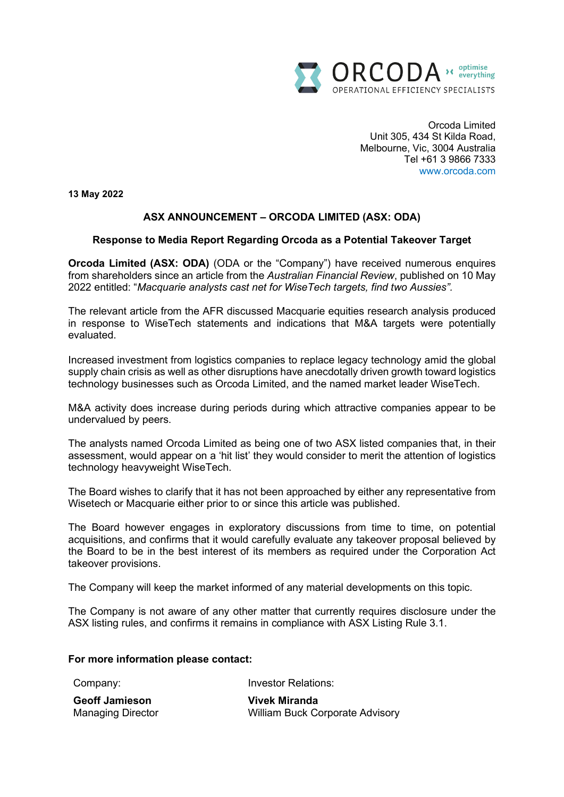

Orcoda Limited Unit 305, 434 St Kilda Road, Melbourne, Vic, 3004 Australia Tel +61 3 9866 7333 www.orcoda.com

**13 May 2022**

# **ASX ANNOUNCEMENT – ORCODA LIMITED (ASX: ODA)**

# **Response to Media Report Regarding Orcoda as a Potential Takeover Target**

**Orcoda Limited (ASX: ODA)** (ODA or the "Company") have received numerous enquires from shareholders since an article from the *Australian Financial Review*, published on 10 May 2022 entitled: "*Macquarie analysts cast net for WiseTech targets, find two Aussies".*

The relevant article from the AFR discussed Macquarie equities research analysis produced in response to WiseTech statements and indications that M&A targets were potentially evaluated.

Increased investment from logistics companies to replace legacy technology amid the global supply chain crisis as well as other disruptions have anecdotally driven growth toward logistics technology businesses such as Orcoda Limited, and the named market leader WiseTech.

M&A activity does increase during periods during which attractive companies appear to be undervalued by peers.

The analysts named Orcoda Limited as being one of two ASX listed companies that, in their assessment, would appear on a 'hit list' they would consider to merit the attention of logistics technology heavyweight WiseTech.

The Board wishes to clarify that it has not been approached by either any representative from Wisetech or Macquarie either prior to or since this article was published.

The Board however engages in exploratory discussions from time to time, on potential acquisitions, and confirms that it would carefully evaluate any takeover proposal believed by the Board to be in the best interest of its members as required under the Corporation Act takeover provisions.

The Company will keep the market informed of any material developments on this topic.

The Company is not aware of any other matter that currently requires disclosure under the ASX listing rules, and confirms it remains in compliance with ASX Listing Rule 3.1.

### **For more information please contact:**

Company:

Investor Relations:

| <b>Geoff Jamieson</b>    | <b>Vivek Miranda</b>                   |
|--------------------------|----------------------------------------|
| <b>Managing Director</b> | <b>William Buck Corporate Advisory</b> |